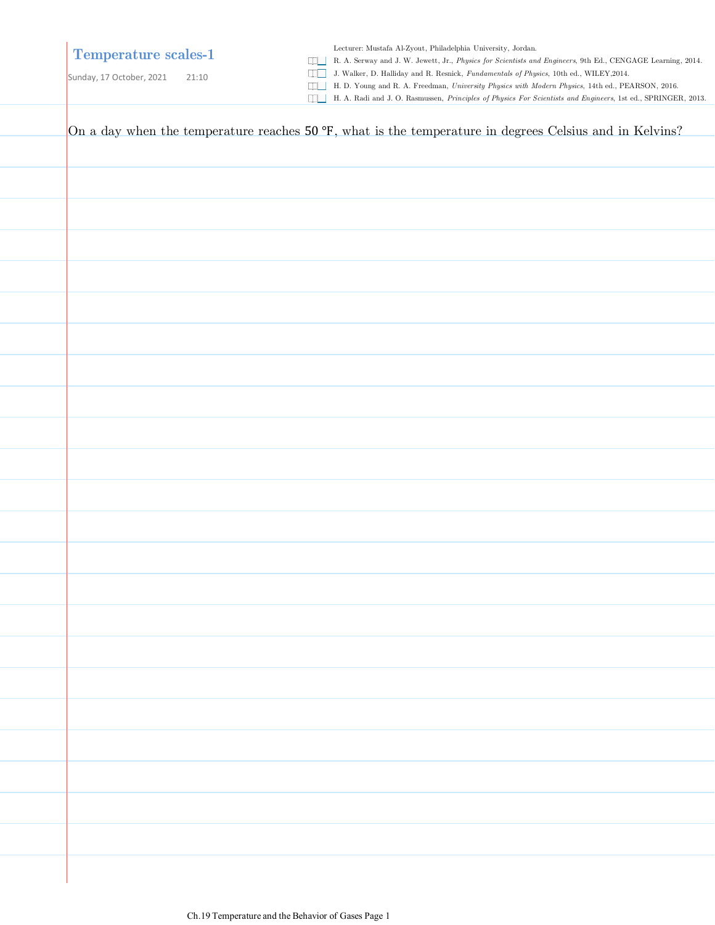### **Temperature scales-1**

Lecturer: Mustafa Al-Zyout, Philadelphia University, Jordan.

R. A. Serway and J. W. Jewett, Jr., *Physics for Scientists and Engineers*, 9th Ed., CENGAGE Learning, 2014.

Sunday, 17 October, 2021 21:10

J. Walker, D. Halliday and R. Resnick, *Fundamentals of Physics*, 10th ed., WILEY,2014.

H. D. Young and R. A. Freedman, *University Physics with Modern Physics*, 14th ed., PEARSON, 2016. H. A. Radi and J. O. Rasmussen, *Principles of Physics For Scientists and Engineers*, 1st ed., SPRINGER, 2013.

On a day when the temperature reaches  $50^{\circ}F$ , what is the temperature in degrees Celsius and in Kelvins?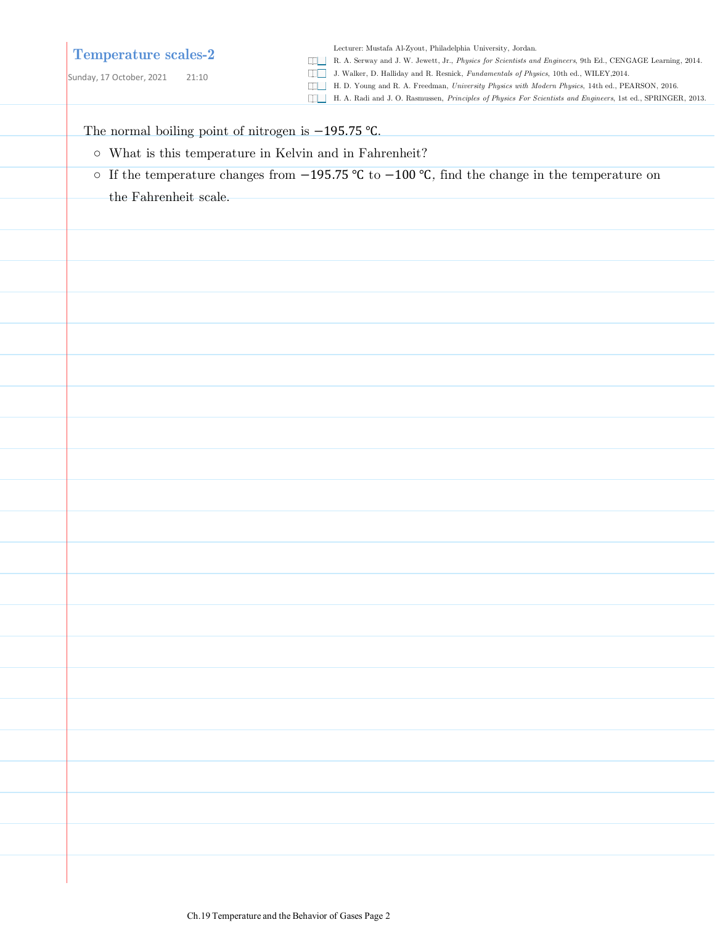### **Temperature scales-2**

Sunday, 17 October, 2021 21:10

Lecturer: Mustafa Al-Zyout, Philadelphia University, Jordan.

- R. A. Serway and J. W. Jewett, Jr., *Physics for Scientists and Engineers*, 9th Ed., CENGAGE Learning, 2014.
- J. Walker, D. Halliday and R. Resnick, *Fundamentals of Physics*, 10th ed., WILEY,2014.
- H. D. Young and R. A. Freedman, *University Physics with Modern Physics*, 14th ed., PEARSON, 2016.
- H. A. Radi and J. O. Rasmussen, *Principles of Physics For Scientists and Engineers*, 1st ed., SPRINGER, 2013.

The normal boiling point of nitrogen is -195.75 °C.

- What is this temperature in Kelvin and in Fahrenheit?
- If the temperature changes from −195.75 ℃ to −100 ℃*,* find the change in the temperature on the Fahrenheit scale.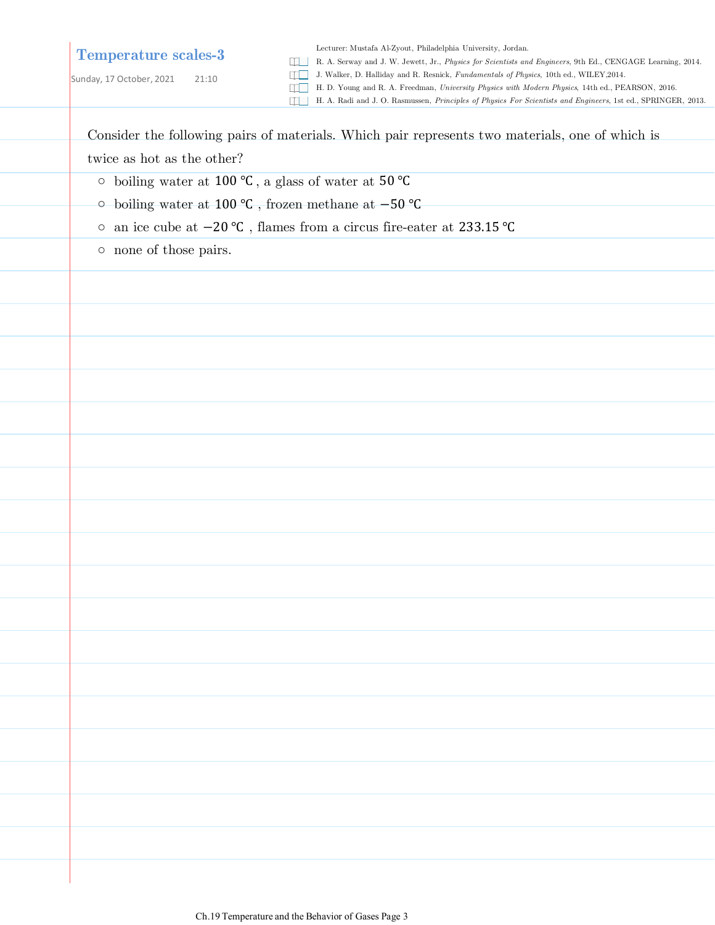## **Temperature scales-3**

Sunday, 17 October, 2021 21:10

Lecturer: Mustafa Al-Zyout, Philadelphia University, Jordan.

R. A. Serway and J. W. Jewett, Jr., *Physics for Scientists and Engineers*, 9th Ed., CENGAGE Learning, 2014.

J. Walker, D. Halliday and R. Resnick, *Fundamentals of Physics*, 10th ed., WILEY,2014.

H. D. Young and R. A. Freedman, *University Physics with Modern Physics*, 14th ed., PEARSON, 2016.

H. A. Radi and J. O. Rasmussen, *Principles of Physics For Scientists and Engineers*, 1st ed., SPRINGER, 2013.

Consider the following pairs of materials. Which pair represents two materials, one of which is twice as hot as the other?

- boiling water at 100 ℃ , a glass of water at 50 ℃
- boiling water at 100 ℃ , frozen methane at −50 ℃
- an ice cube at −20 ℃ , flames from a circus fire-eater at 233.15 ℃
- none of those pairs.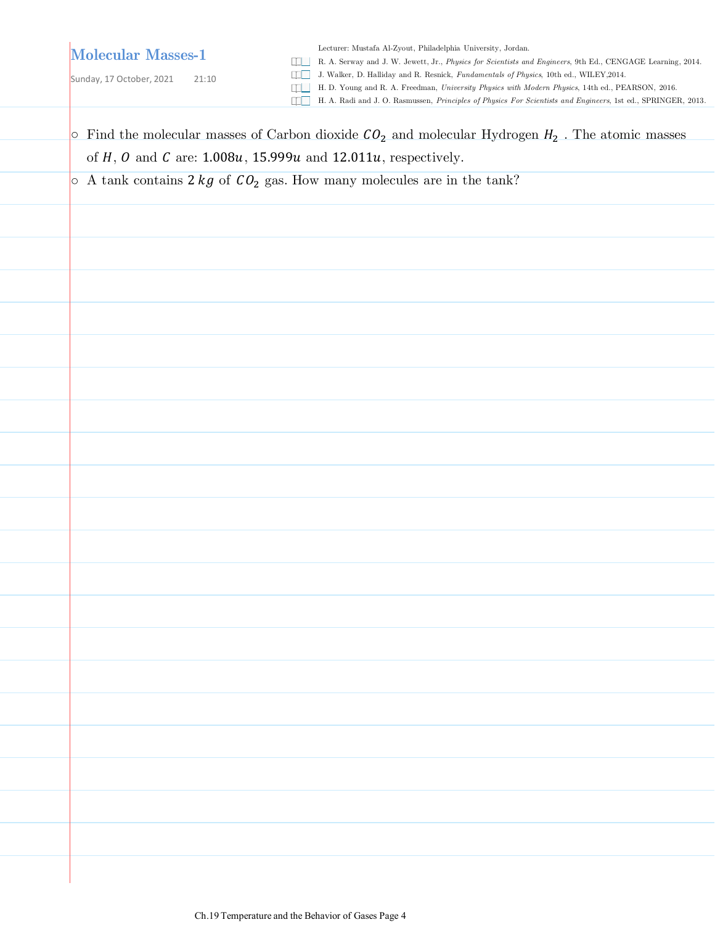# **Molecular Masses-1**

Lecturer: Mustafa Al-Zyout, Philadelphia University, Jordan.

R. A. Serway and J. W. Jewett, Jr., *Physics for Scientists and Engineers*, 9th Ed., CENGAGE Learning, 2014.

Sunday, 17 October, 2021 21:10

J. Walker, D. Halliday and R. Resnick, *Fundamentals of Physics*, 10th ed., WILEY,2014.

H. D. Young and R. A. Freedman, *University Physics with Modern Physics*, 14th ed., PEARSON, 2016.

H. A. Radi and J. O. Rasmussen, *Principles of Physics For Scientists and Engineers*, 1st ed., SPRINGER, 2013.

| $\circ$ Find the molecular masses of Carbon dioxide $CO2$ and molecular Hydrogen $H2$ . The atomic masses |  |  |  |  |
|-----------------------------------------------------------------------------------------------------------|--|--|--|--|
| of $H$ , $O$ and $C$ are: 1.008u, 15.999u and 12.011u, respectively.                                      |  |  |  |  |
| $\circ$ A tank contains 2 kg of $CO2$ gas. How many molecules are in the tank?                            |  |  |  |  |
|                                                                                                           |  |  |  |  |
|                                                                                                           |  |  |  |  |
|                                                                                                           |  |  |  |  |
|                                                                                                           |  |  |  |  |
|                                                                                                           |  |  |  |  |
|                                                                                                           |  |  |  |  |
|                                                                                                           |  |  |  |  |
|                                                                                                           |  |  |  |  |
|                                                                                                           |  |  |  |  |
|                                                                                                           |  |  |  |  |
|                                                                                                           |  |  |  |  |
|                                                                                                           |  |  |  |  |
|                                                                                                           |  |  |  |  |
|                                                                                                           |  |  |  |  |
|                                                                                                           |  |  |  |  |
|                                                                                                           |  |  |  |  |
|                                                                                                           |  |  |  |  |
|                                                                                                           |  |  |  |  |
|                                                                                                           |  |  |  |  |
|                                                                                                           |  |  |  |  |
|                                                                                                           |  |  |  |  |
|                                                                                                           |  |  |  |  |
|                                                                                                           |  |  |  |  |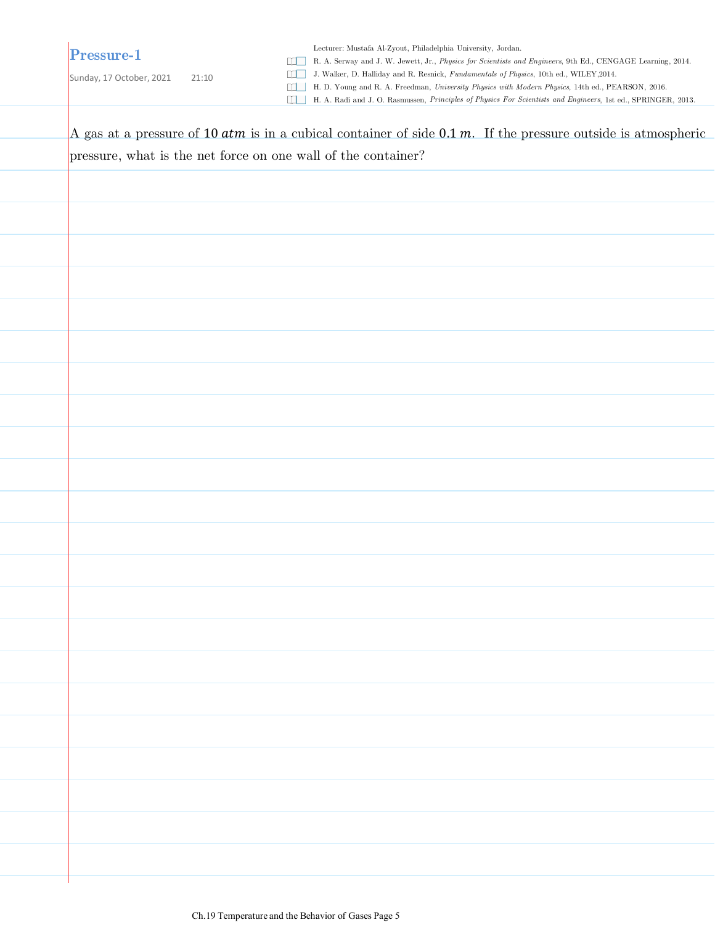**Pressure-1**

Sunday, 17 October, 2021 21:10

R. A. Serway and J. W. Jewett, Jr., *Physics for Scientists and Engineers*, 9th Ed., CENGAGE Learning, 2014.

J. Walker, D. Halliday and R. Resnick, *Fundamentals of Physics*, 10th ed., WILEY,2014.

H. D. Young and R. A. Freedman, *University Physics with Modern Physics*, 14th ed., PEARSON, 2016.

H. A. Radi and J. O. Rasmussen, *Principles of Physics For Scientists and Engineers*, 1st ed., SPRINGER, 2013.

A gas at a pressure of 10  $atm$  is in a cubical container of side 0.1  $m$ . If the pressure outside is atmospheric pressure, what is the net force on one wall of the container?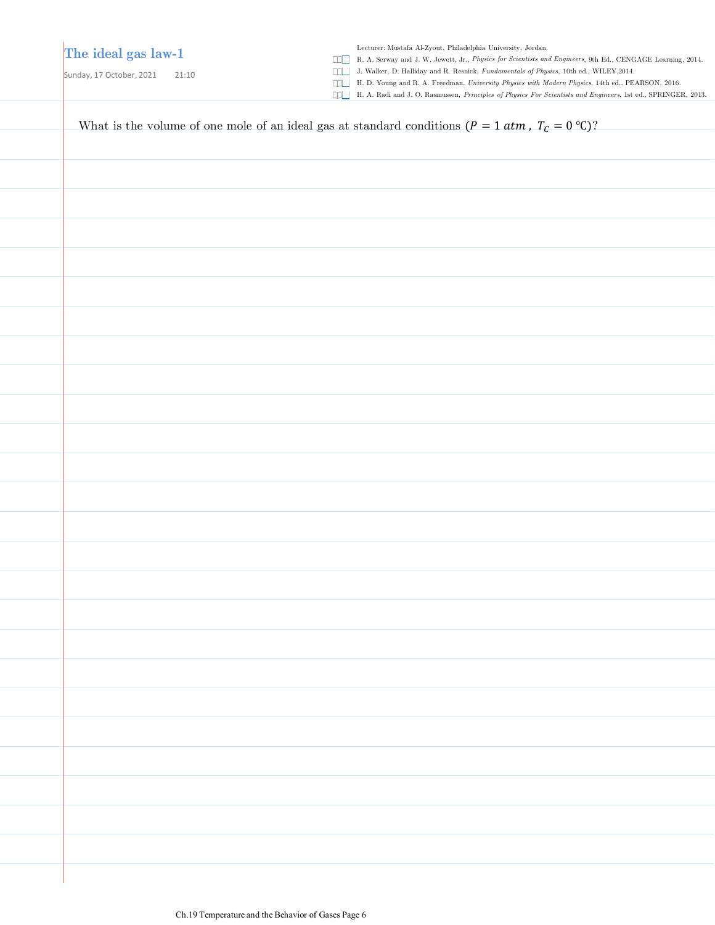## **The ideal gas law-1**

Sunday, 17 October, 2021 21:10

Lecturer: Mustafa Al-Zyout, Philadelphia University, Jordan.

R. A. Serway and J. W. Jewett, Jr., *Physics for Scientists and Engineers*, 9th Ed., CENGAGE Learning, 2014.

J. Walker, D. Halliday and R. Resnick, *Fundamentals of Physics*, 10th ed., WILEY,2014.

H. D. Young and R. A. Freedman, *University Physics with Modern Physics*, 14th ed., PEARSON, 2016.

H. A. Radi and J. O. Rasmussen, *Principles of Physics For Scientists and Engineers*, 1st ed., SPRINGER, 2013.

| What is the volume of one mole of an ideal gas at standard conditions ( $P = 1$ atm, $T_c = 0$ °C)? |
|-----------------------------------------------------------------------------------------------------|
|                                                                                                     |
|                                                                                                     |
|                                                                                                     |
|                                                                                                     |
|                                                                                                     |
|                                                                                                     |
|                                                                                                     |
|                                                                                                     |
|                                                                                                     |
|                                                                                                     |
|                                                                                                     |
|                                                                                                     |
|                                                                                                     |
|                                                                                                     |
|                                                                                                     |
|                                                                                                     |
|                                                                                                     |
|                                                                                                     |
|                                                                                                     |
|                                                                                                     |
|                                                                                                     |
|                                                                                                     |
|                                                                                                     |
|                                                                                                     |
|                                                                                                     |
|                                                                                                     |
|                                                                                                     |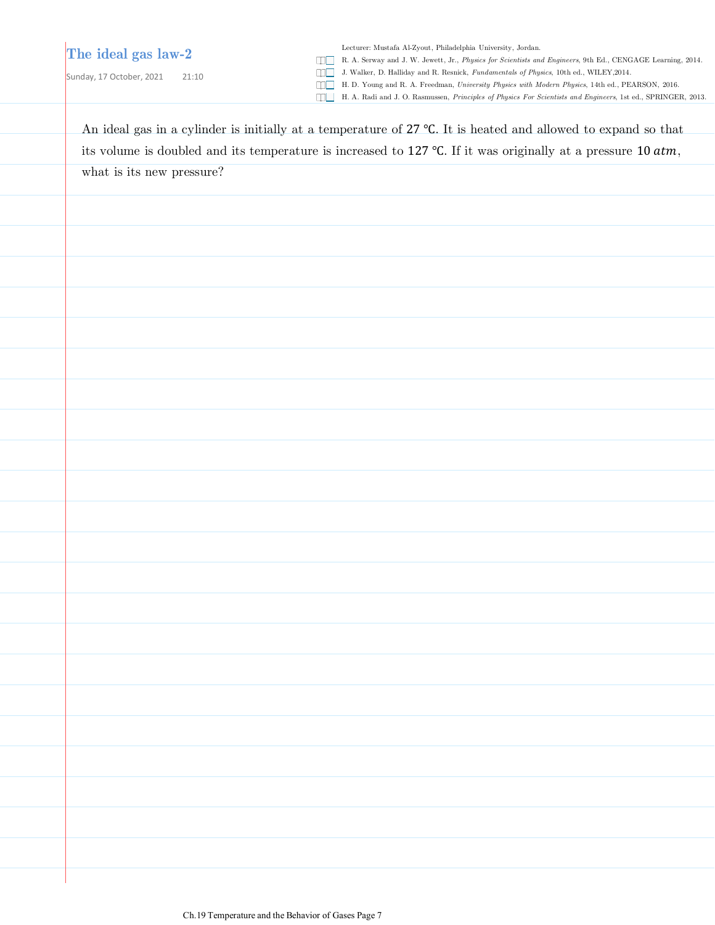### **The ideal gas law-2**

Sunday, 17 October, 2021 21:10

Lecturer: Mustafa Al-Zyout, Philadelphia University, Jordan.

R. A. Serway and J. W. Jewett, Jr., *Physics for Scientists and Engineers*, 9th Ed., CENGAGE Learning, 2014.

J. Walker, D. Halliday and R. Resnick, *Fundamentals of Physics*, 10th ed., WILEY,2014.

H. D. Young and R. A. Freedman, *University Physics with Modern Physics*, 14th ed., PEARSON, 2016.

H. A. Radi and J. O. Rasmussen, *Principles of Physics For Scientists and Engineers*, 1st ed., SPRINGER, 2013.

An ideal gas in a cylinder is initially at a temperature of 27 ℃. It is heated and allowed to expand so that its volume is doubled and its temperature is increased to 127 °C. If it was originally at a pressure 10  $atm$ , what is its new pressure?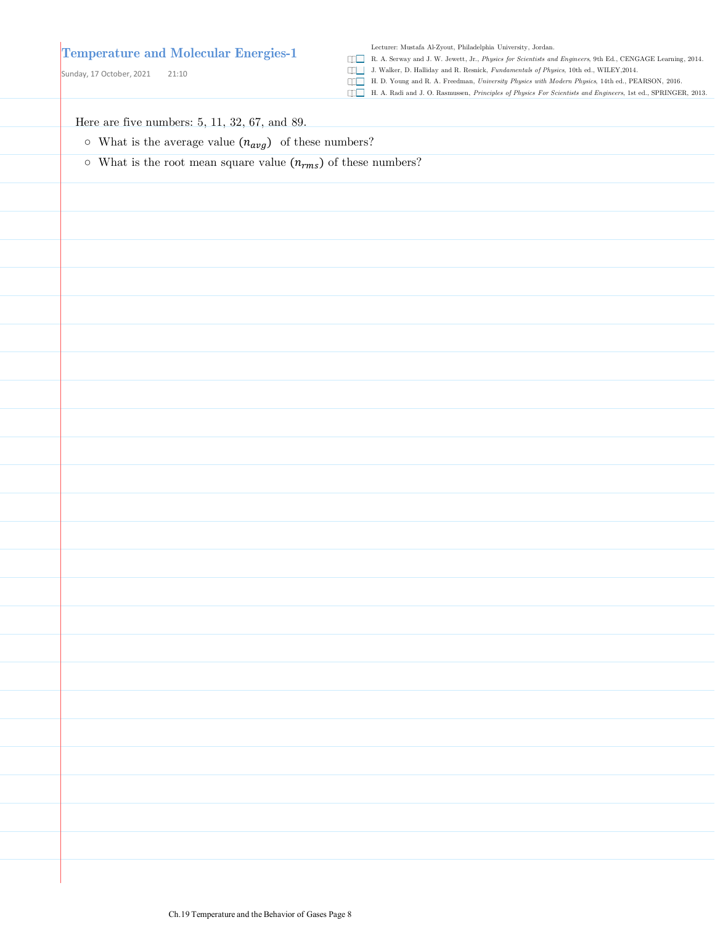#### **Temperature and Molecular Energies-1**

Sunday, 17 October, 2021 21:10

Lecturer: Mustafa Al-Zyout, Philadelphia University, Jordan.

R. A. Serway and J. W. Jewett, Jr., *Physics for Scientists and Engineers*, 9th Ed., CENGAGE Learning, 2014.

J. Walker, D. Halliday and R. Resnick, *Fundamentals of Physics*, 10th ed., WILEY,2014.

H. D. Young and R. A. Freedman, *University Physics with Modern Physics*, 14th ed., PEARSON, 2016.

H. A. Radi and J. O. Rasmussen, *Principles of Physics For Scientists and Engineers*, 1st ed., SPRINGER, 2013.

Here are five numbers: 5, 11, 32, 67, and 89.

- $\circ$  What is the average value  $(n_{avg})$  of these numbers?
- $\circ$  What is the root mean square value  $(n_{rms})$  of these numbers?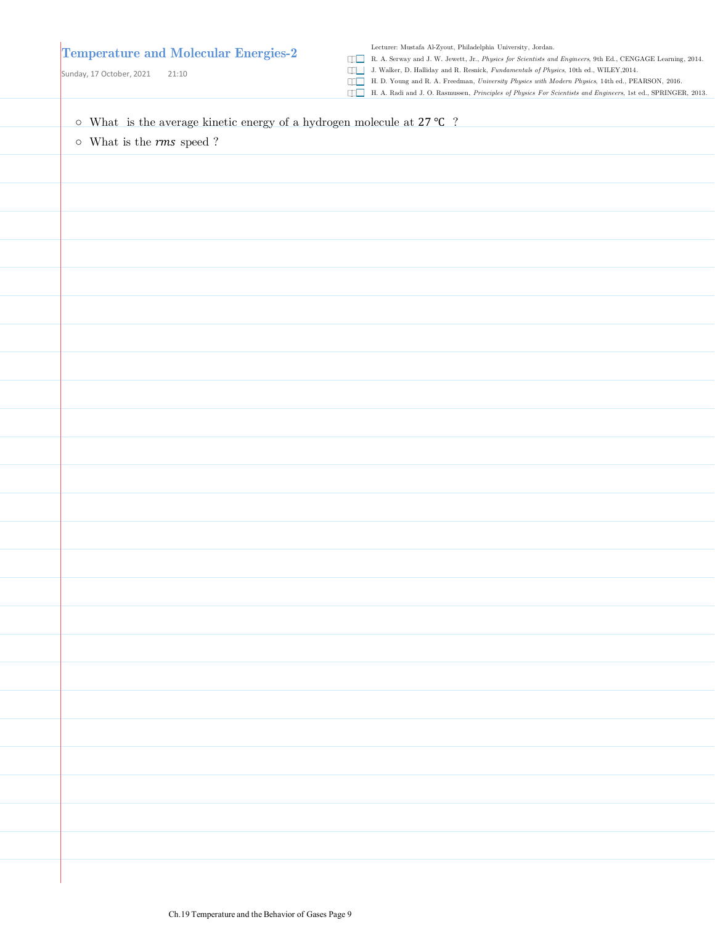| <b>Temperature and Molecular Energies-2</b><br>Sunday, 17 October, 2021<br>21:10                     | qo ka<br>$\Box \Box$ | ${\it Lecture:~Mustafa~Al-Zyout,~Philadelpha~University,~Jordan.}$<br>R. A. Serway and J. W. Jewett, Jr., Physics for Scientists and Engineers, 9th Ed., CENGAGE Learning, 2014.<br>J. Walker, D. Halliday and R. Resnick, Fundamentals of Physics, 10th ed., WILEY, 2014.<br>H. D. Young and R. A. Freedman, University Physics with Modern Physics, 14th ed., PEARSON, 2016.<br>H. A. Radi and J. O. Rasmussen, Principles of Physics For Scientists and Engineers, 1st ed., SPRINGER, 2013. |
|------------------------------------------------------------------------------------------------------|----------------------|------------------------------------------------------------------------------------------------------------------------------------------------------------------------------------------------------------------------------------------------------------------------------------------------------------------------------------------------------------------------------------------------------------------------------------------------------------------------------------------------|
| $\circ~$ What $~$ is the average kinetic energy of a hydrogen molecule at $27~^{\circ}\textrm{C}~$ ? |                      |                                                                                                                                                                                                                                                                                                                                                                                                                                                                                                |
| $\circ~$ What is the $rms$ speed ?                                                                   |                      |                                                                                                                                                                                                                                                                                                                                                                                                                                                                                                |
|                                                                                                      |                      |                                                                                                                                                                                                                                                                                                                                                                                                                                                                                                |
|                                                                                                      |                      |                                                                                                                                                                                                                                                                                                                                                                                                                                                                                                |
|                                                                                                      |                      |                                                                                                                                                                                                                                                                                                                                                                                                                                                                                                |
|                                                                                                      |                      |                                                                                                                                                                                                                                                                                                                                                                                                                                                                                                |
|                                                                                                      |                      |                                                                                                                                                                                                                                                                                                                                                                                                                                                                                                |
|                                                                                                      |                      |                                                                                                                                                                                                                                                                                                                                                                                                                                                                                                |
|                                                                                                      |                      |                                                                                                                                                                                                                                                                                                                                                                                                                                                                                                |
|                                                                                                      |                      |                                                                                                                                                                                                                                                                                                                                                                                                                                                                                                |
|                                                                                                      |                      |                                                                                                                                                                                                                                                                                                                                                                                                                                                                                                |
|                                                                                                      |                      |                                                                                                                                                                                                                                                                                                                                                                                                                                                                                                |
|                                                                                                      |                      |                                                                                                                                                                                                                                                                                                                                                                                                                                                                                                |
|                                                                                                      |                      |                                                                                                                                                                                                                                                                                                                                                                                                                                                                                                |
|                                                                                                      |                      |                                                                                                                                                                                                                                                                                                                                                                                                                                                                                                |
|                                                                                                      |                      |                                                                                                                                                                                                                                                                                                                                                                                                                                                                                                |
|                                                                                                      |                      |                                                                                                                                                                                                                                                                                                                                                                                                                                                                                                |
|                                                                                                      |                      |                                                                                                                                                                                                                                                                                                                                                                                                                                                                                                |
|                                                                                                      |                      |                                                                                                                                                                                                                                                                                                                                                                                                                                                                                                |
|                                                                                                      |                      |                                                                                                                                                                                                                                                                                                                                                                                                                                                                                                |
|                                                                                                      |                      |                                                                                                                                                                                                                                                                                                                                                                                                                                                                                                |
|                                                                                                      |                      |                                                                                                                                                                                                                                                                                                                                                                                                                                                                                                |
|                                                                                                      |                      |                                                                                                                                                                                                                                                                                                                                                                                                                                                                                                |
|                                                                                                      |                      |                                                                                                                                                                                                                                                                                                                                                                                                                                                                                                |
|                                                                                                      |                      |                                                                                                                                                                                                                                                                                                                                                                                                                                                                                                |
|                                                                                                      |                      |                                                                                                                                                                                                                                                                                                                                                                                                                                                                                                |
|                                                                                                      |                      |                                                                                                                                                                                                                                                                                                                                                                                                                                                                                                |
|                                                                                                      |                      |                                                                                                                                                                                                                                                                                                                                                                                                                                                                                                |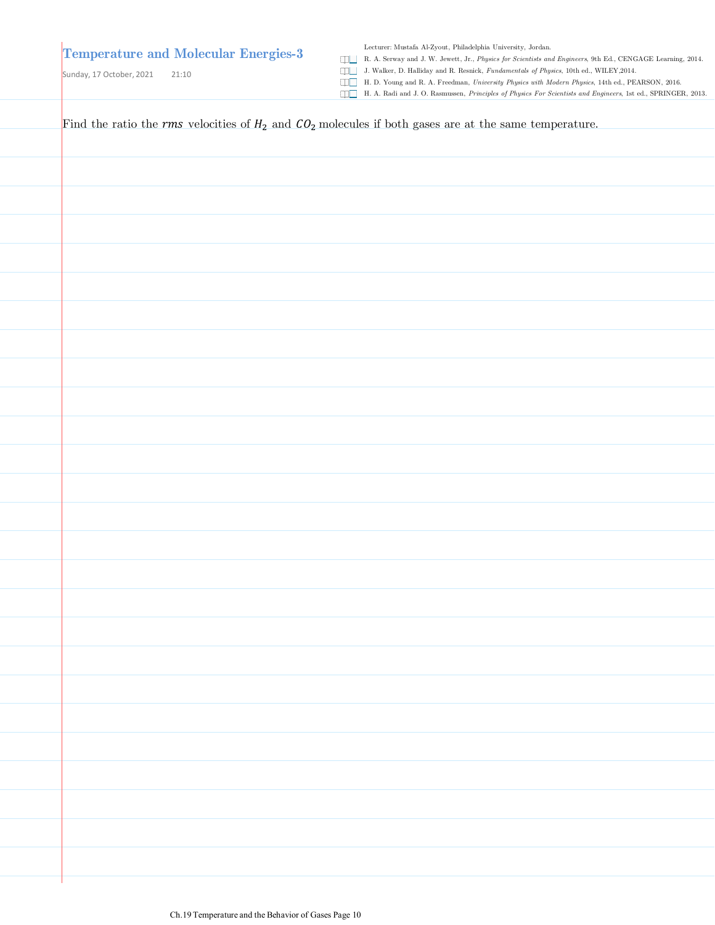# **Temperature and Molecular Energies-3**

Sunday, 17 October, 2021 21:10

Lecturer: Mustafa Al-Zyout, Philadelphia University, Jordan.

R. A. Serway and J. W. Jewett, Jr., *Physics for Scientists and Engineers*, 9th Ed., CENGAGE Learning, 2014.

J. Walker, D. Halliday and R. Resnick, *Fundamentals of Physics*, 10th ed., WILEY,2014.

H. D. Young and R. A. Freedman, *University Physics with Modern Physics*, 14th ed., PEARSON, 2016.

H. A. Radi and J. O. Rasmussen, *Principles of Physics For Scientists and Engineers*, 1st ed., SPRINGER, 2013.

| Find the ratio the rms velocities of $H_2$ and $CO_2$ molecules if both gases are at the same temperature. |
|------------------------------------------------------------------------------------------------------------|
|                                                                                                            |
|                                                                                                            |
|                                                                                                            |
|                                                                                                            |
|                                                                                                            |
|                                                                                                            |
|                                                                                                            |
|                                                                                                            |
|                                                                                                            |
|                                                                                                            |
|                                                                                                            |
|                                                                                                            |
|                                                                                                            |
|                                                                                                            |
|                                                                                                            |
|                                                                                                            |
|                                                                                                            |
|                                                                                                            |
|                                                                                                            |
|                                                                                                            |
|                                                                                                            |
|                                                                                                            |
|                                                                                                            |
|                                                                                                            |
|                                                                                                            |
|                                                                                                            |
|                                                                                                            |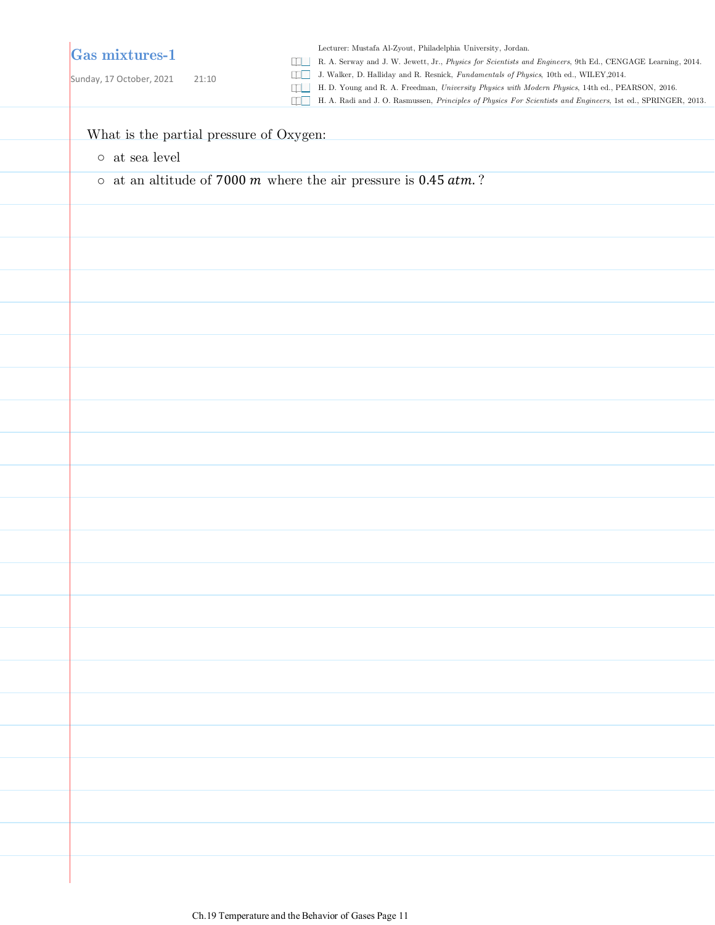# **Gas mixtures-1**

Sunday, 17 October, 2021 21:10

Lecturer: Mustafa Al-Zyout, Philadelphia University, Jordan.

R. A. Serway and J. W. Jewett, Jr., *Physics for Scientists and Engineers*, 9th Ed., CENGAGE Learning, 2014.

J. Walker, D. Halliday and R. Resnick, *Fundamentals of Physics*, 10th ed., WILEY,2014.

H. D. Young and R. A. Freedman, *University Physics with Modern Physics*, 14th ed., PEARSON, 2016.

H. A. Radi and J. O. Rasmussen, *Principles of Physics For Scientists and Engineers*, 1st ed., SPRINGER, 2013.

#### What is the partial pressure of Oxygen:

- $\circ\;$  at sea level
- $\circ$  at an altitude of 7000 m where the air pressure is 0.45  $atm$ .?